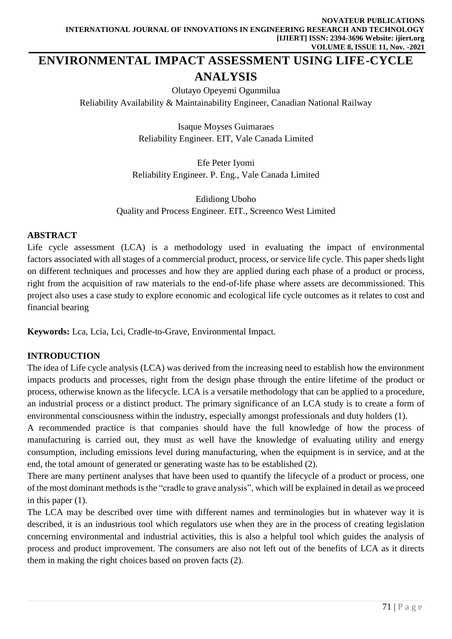# **ENVIRONMENTAL IMPACT ASSESSMENT USING LIFE-CYCLE ANALYSIS**

Olutayo Opeyemi Ogunmilua

Reliability Availability & Maintainability Engineer, Canadian National Railway

Isaque Moyses Guimaraes Reliability Engineer. EIT, Vale Canada Limited

Efe Peter Iyomi Reliability Engineer. P. Eng., Vale Canada Limited

Edidiong Uboho Quality and Process Engineer. EIT., Screenco West Limited

#### **ABSTRACT**

Life cycle assessment (LCA) is a methodology used in evaluating the impact of environmental factors associated with all stages of a commercial product, process, or service life cycle. This paper sheds light on different techniques and processes and how they are applied during each phase of a product or process, right from the acquisition of raw materials to the end-of-life phase where assets are decommissioned. This project also uses a case study to explore economic and ecological life cycle outcomes as it relates to cost and financial bearing

**Keywords:** Lca, Lcia, Lci, Cradle-to-Grave, Environmental Impact.

# **INTRODUCTION**

The idea of Life cycle analysis (LCA) was derived from the increasing need to establish how the environment impacts products and processes, right from the design phase through the entire lifetime of the product or process, otherwise known as the lifecycle. LCA is a versatile methodology that can be applied to a procedure, an industrial process or a distinct product. The primary significance of an LCA study is to create a form of environmental consciousness within the industry, especially amongst professionals and duty holders (1).

A recommended practice is that companies should have the full knowledge of how the process of manufacturing is carried out, they must as well have the knowledge of evaluating utility and energy consumption, including emissions level during manufacturing, when the equipment is in service, and at the end, the total amount of generated or generating waste has to be established (2).

There are many pertinent analyses that have been used to quantify the lifecycle of a product or process, one of the most dominant methods is the "cradle to grave analysis", which will be explained in detail as we proceed in this paper (1).

The LCA may be described over time with different names and terminologies but in whatever way it is described, it is an industrious tool which regulators use when they are in the process of creating legislation concerning environmental and industrial activities, this is also a helpful tool which guides the analysis of process and product improvement. The consumers are also not left out of the benefits of LCA as it directs them in making the right choices based on proven facts (2).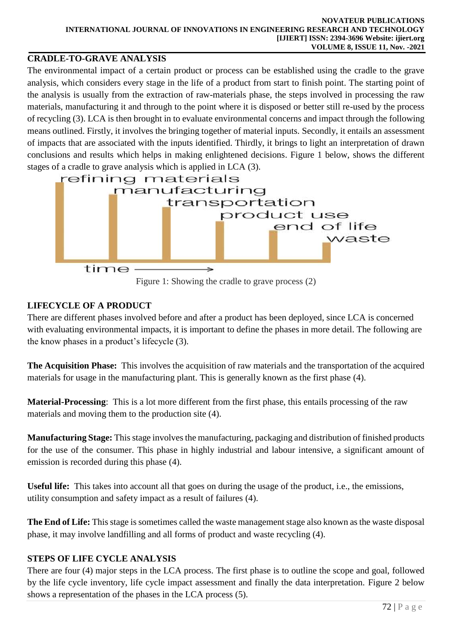# **[CRADLE-](https://en.wiktionary.org/wiki/cradle)TO[-GRAVE](https://en.wiktionary.org/wiki/grave) ANALYSIS**

The environmental impact of a certain product or process can be established using the cradle to the grave analysis, which considers every stage in the life of a product from start to finish point. The starting point of the analysis is usually from the extraction of raw-materials phase, the steps involved in processing the raw materials, manufacturing it and through to the point where it is disposed or better still re-used by the process of recycling (3). LCA is then brought in to evaluate environmental concerns and impact through the following means outlined. Firstly, it involves the bringing together of material inputs. Secondly, it entails an assessment of impacts that are associated with the inputs identified. Thirdly, it brings to light an interpretation of drawn conclusions and results which helps in making enlightened decisions. Figure 1 below, shows the different stages of a cradle to grave analysis which is applied in LCA (3).



Figure 1: Showing the cradle to grave process (2)

# **LIFECYCLE OF A PRODUCT**

There are different phases involved before and after a product has been deployed, since LCA is concerned with evaluating environmental impacts, it is important to define the phases in more detail. The following are the know phases in a product's lifecycle (3).

**The Acquisition Phase:** This involves the acquisition of raw materials and the transportation of the acquired materials for usage in the manufacturing plant. This is generally known as the first phase (4).

**Material-Processing**: This is a lot more different from the first phase, this entails processing of the raw materials and moving them to the production site (4).

**Manufacturing Stage:** This stage involves the manufacturing, packaging and distribution of finished products for the use of the consumer. This phase in highly industrial and labour intensive, a significant amount of emission is recorded during this phase (4).

**Useful life:** This takes into account all that goes on during the usage of the product, i.e., the emissions, utility consumption and safety impact as a result of failures (4).

**The End of Life:** This stage is sometimes called the waste management stage also known as the waste disposal phase, it may involve landfilling and all forms of product and waste recycling (4).

# **STEPS OF LIFE CYCLE ANALYSIS**

There are four (4) major steps in the LCA process. The first phase is to outline the scope and goal, followed by the life cycle inventory, life cycle impact assessment and finally the data interpretation. Figure 2 below shows a representation of the phases in the LCA process (5).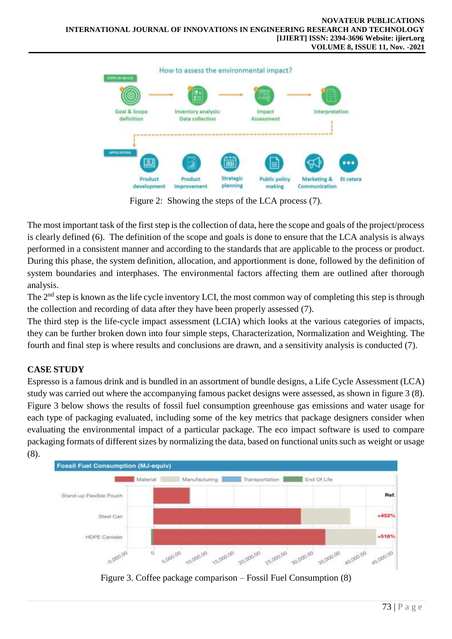

Figure 2: Showing the steps of the LCA process (7).

The most important task of the first step is the collection of data, here the scope and goals of the project/process is clearly defined (6). The definition of the scope and goals is done to ensure that the LCA analysis is always performed in a consistent manner and according to the standards that are applicable to the process or product. During this phase, the system definition, allocation, and apportionment is done, followed by the definition of system boundaries and interphases. The environmental factors affecting them are outlined after thorough analysis.

The  $2<sup>nd</sup>$  step is known as the life cycle inventory LCI, the most common way of completing this step is through the collection and recording of data after they have been properly assessed (7).

The third step is the life-cycle impact assessment (LCIA) which looks at the various categories of impacts, they can be further broken down into four simple steps, Characterization, Normalization and Weighting. The fourth and final step is where results and conclusions are drawn, and a sensitivity analysis is conducted (7).

# **CASE STUDY**

Espresso is a famous drink and is bundled in an assortment of bundle designs, a Life Cycle Assessment (LCA) study was carried out where the accompanying famous packet designs were assessed, as shown in figure 3 (8). Figure 3 below shows the results of fossil fuel consumption greenhouse gas emissions and water usage for each type of packaging evaluated, including some of the key metrics that package designers consider when evaluating the environmental impact of a particular package. The eco impact software is used to compare packaging formats of different sizes by normalizing the data, based on functional units such as weight or usage (8).



Figure 3. Coffee package comparison – Fossil Fuel Consumption (8)